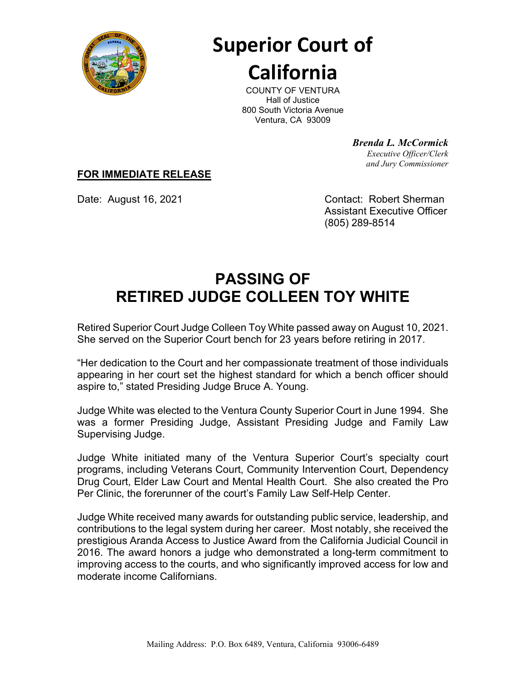

## **Superior Court of California**

COUNTY OF VENTURA Hall of Justice 800 South Victoria Avenue Ventura, CA 93009

> *Brenda L. McCormick Executive Officer/Clerk and Jury Commissioner*

## **FOR IMMEDIATE RELEASE**

Date: August 16, 2021 Contact: Robert Sherman Assistant Executive Officer (805) 289-8514

## **PASSING OF RETIRED JUDGE COLLEEN TOY WHITE**

Retired Superior Court Judge Colleen Toy White passed away on August 10, 2021. She served on the Superior Court bench for 23 years before retiring in 2017.

"Her dedication to the Court and her compassionate treatment of those individuals appearing in her court set the highest standard for which a bench officer should aspire to," stated Presiding Judge Bruce A. Young.

Judge White was elected to the Ventura County Superior Court in June 1994. She was a former Presiding Judge, Assistant Presiding Judge and Family Law Supervising Judge.

Judge White initiated many of the Ventura Superior Court's specialty court programs, including Veterans Court, Community Intervention Court, Dependency Drug Court, Elder Law Court and Mental Health Court. She also created the Pro Per Clinic, the forerunner of the court's Family Law Self-Help Center.

Judge White received many awards for outstanding public service, leadership, and contributions to the legal system during her career. Most notably, she received the prestigious Aranda Access to Justice Award from the California Judicial Council in 2016. The award honors a judge who demonstrated a long-term commitment to improving access to the courts, and who significantly improved access for low and moderate income Californians.